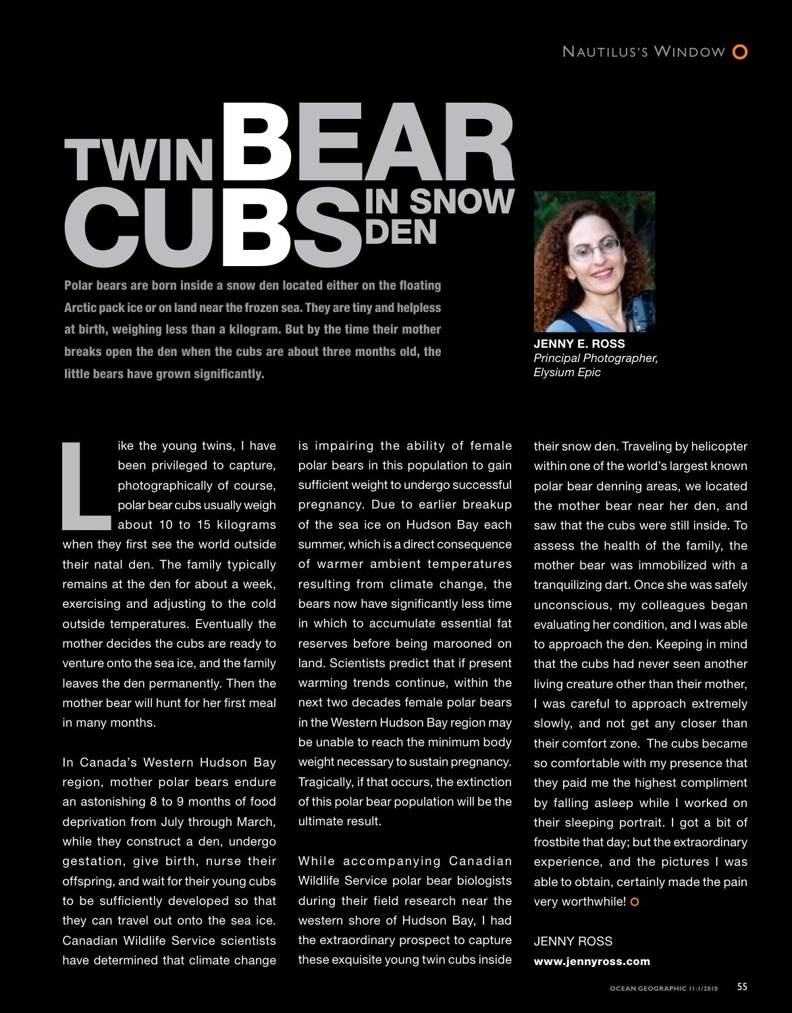## Twin Polar bears are born inside a snow den located either BEAP in Snow Den

Polar bears are born inside a snow den located either on the floating Arctic pack ice or on land near the frozen sea. They are tiny and helpless at birth, weighing less than a kilogram. But by the time their mother breaks open the den when the cubs are about three months old, the little bears have grown significantly.



**Jenny E. Ross**  *Principal Photographer, Elysium Epic*

ike the young twins, I have been privileged to capture, photographically of course, polar bear cubs usually weigh about 10 to 15 kilograms ike the young twins, I have<br>been privileged to capture,<br>photographically of course,<br>polar bear cubs usually weigh<br>about 10 to 15 kilograms<br>when they first see the world outside their natal den. The family typically remains at the den for about a week, exercising and adjusting to the cold outside temperatures. Eventually the mother decides the cubs are ready to venture onto the sea ice, and the family leaves the den permanently. Then the mother bear will hunt for her first meal in many months.

In Canada's Western Hudson Bay region, mother polar bears endure an astonishing 8 to 9 months of food deprivation from July through March, while they construct a den, undergo gestation, give birth, nurse their offspring, and wait for their young cubs to be sufficiently developed so that they can travel out onto the sea ice. Canadian Wildlife Service scientists have determined that climate change

is impairing the ability of female polar bears in this population to gain sufficient weight to undergo successful pregnancy. Due to earlier breakup of the sea ice on Hudson Bay each summer, which is a direct consequence of warmer ambient temperatures resulting from climate change, the bears now have significantly less time in which to accumulate essential fat reserves before being marooned on land. Scientists predict that if present warming trends continue, within the next two decades female polar bears in the Western Hudson Bay region may be unable to reach the minimum body weight necessary to sustain pregnancy. Tragically, if that occurs, the extinction of this polar bear population will be the ultimate result.

While accompanying Canadian Wildlife Service polar bear biologists during their field research near the western shore of Hudson Bay, I had the extraordinary prospect to capture these exquisite young twin cubs inside their snow den. Traveling by helicopter within one of the world's largest known polar bear denning areas, we located the mother bear near her den, and saw that the cubs were still inside. To assess the health of the family, the mother bear was immobilized with a tranquilizing dart. Once she was safely unconscious, my colleagues began evaluating her condition, and I was able to approach the den. Keeping in mind that the cubs had never seen another living creature other than their mother, I was careful to approach extremely slowly, and not get any closer than their comfort zone. The cubs became so comfortable with my presence that they paid me the highest compliment by falling asleep while I worked on their sleeping portrait. I got a bit of frostbite that day; but the extraordinary experience, and the pictures I was able to obtain, certainly made the pain very worthwhile!

Jenny Ross www.jennyross.com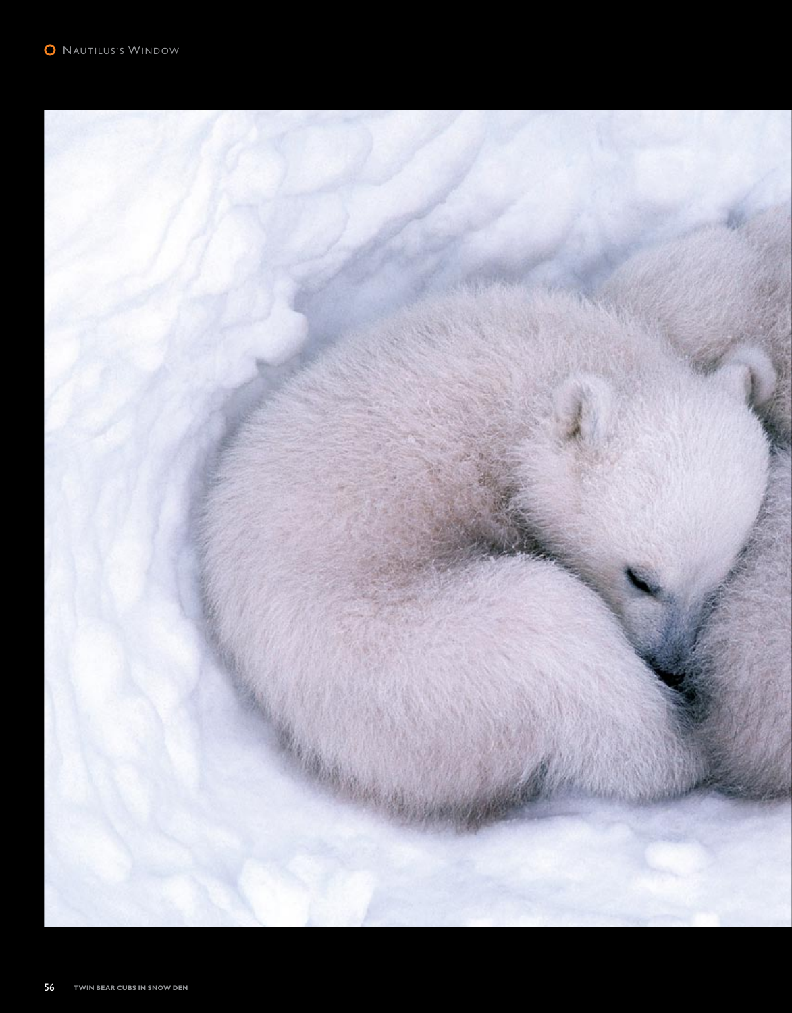